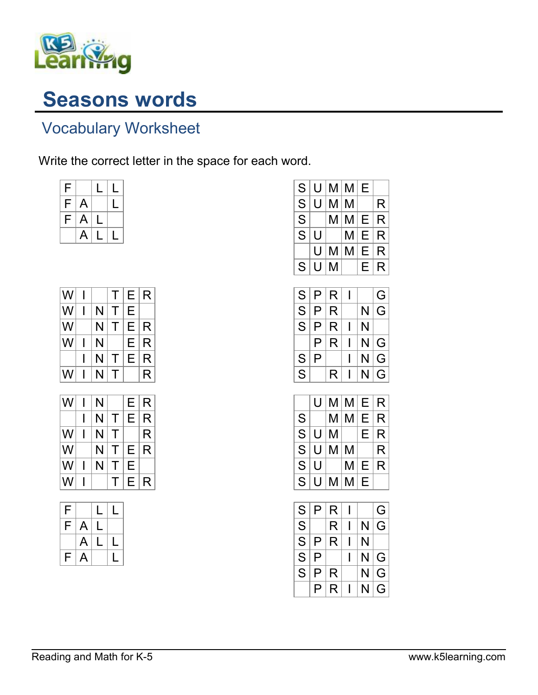

## Seasons words

## Vocabulary Worksheet

Write the correct letter in the space for each word.

| F |              | L            | L |
|---|--------------|--------------|---|
| F | $\mathsf{A}$ |              | L |
| F | $\mathsf{A}$ | $\mathsf{L}$ |   |
|   | A            | $\mathsf L$  | Ų |

| W |   | Τ           | Е | R |
|---|---|-------------|---|---|
| W | N | Τ           | Е |   |
| W | N | $\mathsf T$ | Е | R |
| W | N |             | Е | R |
|   | N | Τ           | Е | R |
| W | N | Т           |   | R |

| W | N |          | Е | R |
|---|---|----------|---|---|
|   | N | т        | Е | R |
| W | N | T        |   | R |
| W | N | $\Gamma$ | Е | R |
| W | N |          | Е |   |
| W |   |          | Е | R |

| F  |                | $\mathsf{L}$  | L |
|----|----------------|---------------|---|
| F. | $\overline{A}$ | $\mathsf{L}$  |   |
|    | A              | $\mathsf{L}%$ | U |
| F  | A              |               | U |

| S                        | U |    | M M | Е |              |
|--------------------------|---|----|-----|---|--------------|
| $\frac{\overline{S}}{S}$ | U | М  | M   |   | R            |
|                          |   | Μ  | M   | E | $\mathsf{R}$ |
| $\overline{\mathsf{s}}$  | U |    | М   | E | R            |
|                          | U | Μ  | M   | Е | R            |
| S                        | U | Μ  |     | Е | R            |
|                          |   |    |     |   |              |
| S                        | P | R. |     |   | G            |

| S | Ρ | R |   | G |
|---|---|---|---|---|
| S | P | R | N | G |
| S | P | R | N |   |
|   | P | R | N | G |
| S | P |   | N | G |
| S |   | R | N | G |

|   | U | M | M | Е | R |
|---|---|---|---|---|---|
| S |   | М | М | E | R |
| S | U | M |   | Е | R |
| S | U | M | М |   | R |
| S | U |   | М | Е | R |
| S | U | Μ | M | Е |   |

| S | P | R |   | G |
|---|---|---|---|---|
| S |   | R | N | G |
| S | P | R | N |   |
| S | P |   | N | G |
| S | P | R | N | G |
|   | P | R |   | G |